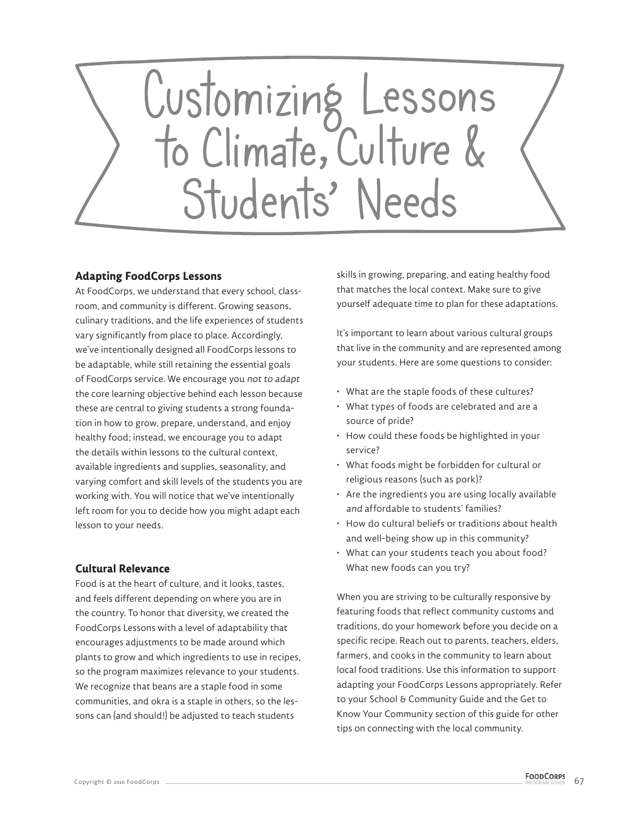

## **Adapting FoodCorps Lessons**

At FoodCorps, we understand that every school, classroom, and community is different. Growing seasons, culinary traditions, and the life experiences of students vary significantly from place to place. Accordingly, we've intentionally designed all FoodCorps lessons to be adaptable, while still retaining the essential goals of FoodCorps service. We encourage you not to adapt the core learning objective behind each lesson because these are central to giving students a strong foundation in how to grow, prepare, understand, and enjoy healthy food; instead, we encourage you to adapt the details within lessons to the cultural context, available ingredients and supplies, seasonality, and varying comfort and skill levels of the students you are working with. You will notice that we've intentionally left room for you to decide how you might adapt each lesson to your needs.

## **Cultural Relevance**

Food is at the heart of culture, and it looks, tastes, and feels different depending on where you are in the country. To honor that diversity, we created the FoodCorps Lessons with a level of adaptability that encourages adjustments to be made around which plants to grow and which ingredients to use in recipes, so the program maximizes relevance to your students. We recognize that beans are a staple food in some communities, and okra is a staple in others, so the lessons can (and should!) be adjusted to teach students

skills in growing, preparing, and eating healthy food that matches the local context. Make sure to give yourself adequate time to plan for these adaptations.

It's important to learn about various cultural groups that live in the community and are represented among your students. Here are some questions to consider:

- What are the staple foods of these cultures?
- What types of foods are celebrated and are a source of pride?
- How could these foods be highlighted in your service?
- What foods might be forbidden for cultural or religious reasons (such as pork)?
- Are the ingredients you are using locally available and affordable to students' families?
- How do cultural beliefs or traditions about health and well-being show up in this community?
- What can your students teach you about food? What new foods can you try?

When you are striving to be culturally responsive by featuring foods that reflect community customs and traditions, do your homework before you decide on a specific recipe. Reach out to parents, teachers, elders, farmers, and cooks in the community to learn about local food traditions. Use this information to support adapting your FoodCorps Lessons appropriately. Refer to your School & Community Guide and the Get to Know Your Community section of this guide for other tips on connecting with the local community.